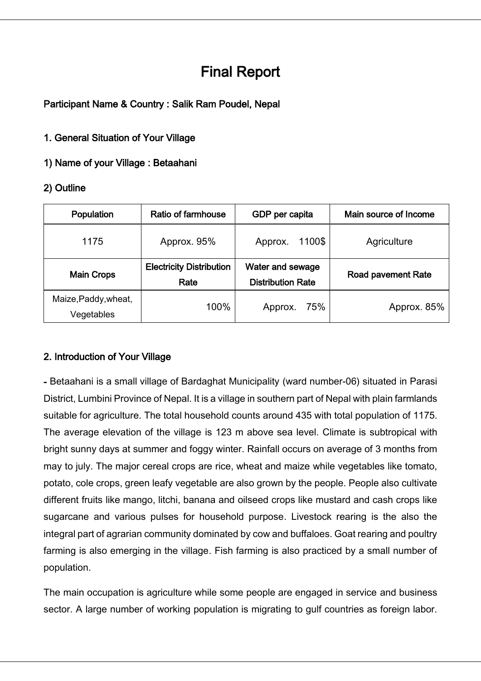# Final Report

# Participant Name & Country : Salik Ram Poudel, Nepal

## 1. General Situation of Your Village

## 1) Name of your Village : Betaahani

## 2) Outline

| Population                         | Ratio of farmhouse                      | GDP per capita                                      | Main source of Income     |
|------------------------------------|-----------------------------------------|-----------------------------------------------------|---------------------------|
| 1175                               | Approx. 95%                             | 1100\$<br>Approx.                                   | Agriculture               |
| <b>Main Crops</b>                  | <b>Electricity Distribution</b><br>Rate | <b>Water and sewage</b><br><b>Distribution Rate</b> | <b>Road pavement Rate</b> |
| Maize, Paddy, wheat,<br>Vegetables | 100%                                    | 75%<br>Approx.                                      | Approx. 85%               |

### 2. Introduction of Your Village

- Betaahani is a small village of Bardaghat Municipality (ward number-06) situated in Parasi District, Lumbini Province of Nepal. It is a village in southern part of Nepal with plain farmlands suitable for agriculture. The total household counts around 435 with total population of 1175. The average elevation of the village is 123 m above sea level. Climate is subtropical with bright sunny days at summer and foggy winter. Rainfall occurs on average of 3 months from may to july. The major cereal crops are rice, wheat and maize while vegetables like tomato, potato, cole crops, green leafy vegetable are also grown by the people. People also cultivate different fruits like mango, litchi, banana and oilseed crops like mustard and cash crops like sugarcane and various pulses for household purpose. Livestock rearing is the also the integral part of agrarian community dominated by cow and buffaloes. Goat rearing and poultry farming is also emerging in the village. Fish farming is also practiced by a small number of population.

The main occupation is agriculture while some people are engaged in service and business sector. A large number of working population is migrating to gulf countries as foreign labor.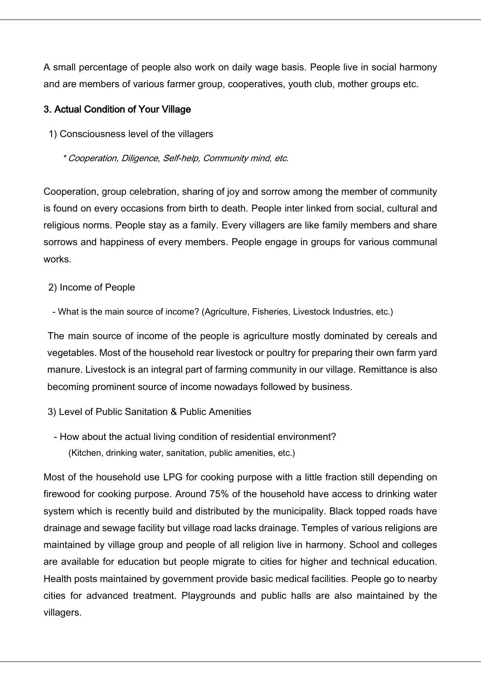A small percentage of people also work on daily wage basis. People live in social harmony and are members of various farmer group, cooperatives, youth club, mother groups etc.

#### 3. Actual Condition of Your Village

1) Consciousness level of the villagers

\* Cooperation, Diligence, Self-help, Community mind, etc.

Cooperation, group celebration, sharing of joy and sorrow among the member of community is found on every occasions from birth to death. People inter linked from social, cultural and religious norms. People stay as a family. Every villagers are like family members and share sorrows and happiness of every members. People engage in groups for various communal works.

#### 2) Income of People

- What is the main source of income? (Agriculture, Fisheries, Livestock Industries, etc.)

The main source of income of the people is agriculture mostly dominated by cereals and vegetables. Most of the household rear livestock or poultry for preparing their own farm yard manure. Livestock is an integral part of farming community in our village. Remittance is also becoming prominent source of income nowadays followed by business.

- 3) Level of Public Sanitation & Public Amenities
	- How about the actual living condition of residential environment? (Kitchen, drinking water, sanitation, public amenities, etc.)

Most of the household use LPG for cooking purpose with a little fraction still depending on firewood for cooking purpose. Around 75% of the household have access to drinking water system which is recently build and distributed by the municipality. Black topped roads have drainage and sewage facility but village road lacks drainage. Temples of various religions are maintained by village group and people of all religion live in harmony. School and colleges are available for education but people migrate to cities for higher and technical education. Health posts maintained by government provide basic medical facilities. People go to nearby cities for advanced treatment. Playgrounds and public halls are also maintained by the villagers.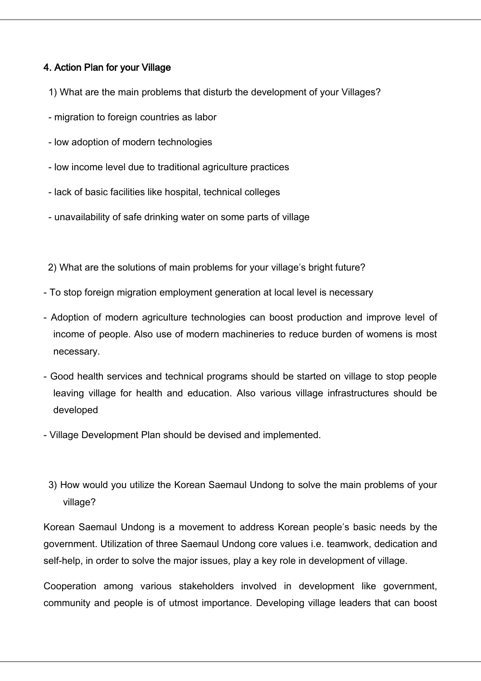## 4. Action Plan for your Village

- 1) What are the main problems that disturb the development of your Villages?
- migration to foreign countries as labor
- low adoption of modern technologies
- low income level due to traditional agriculture practices
- lack of basic facilities like hospital, technical colleges
- unavailability of safe drinking water on some parts of village

2) What are the solutions of main problems for your village's bright future?

- To stop foreign migration employment generation at local level is necessary
- Adoption of modern agriculture technologies can boost production and improve level of income of people. Also use of modern machineries to reduce burden of womens is most necessary.
- Good health services and technical programs should be started on village to stop people leaving village for health and education. Also various village infrastructures should be developed
- Village Development Plan should be devised and implemented.
- 3) How would you utilize the Korean Saemaul Undong to solve the main problems of your village?

Korean Saemaul Undong is a movement to address Korean people's basic needs by the government. Utilization of three Saemaul Undong core values i.e. teamwork, dedication and self-help, in order to solve the major issues, play a key role in development of village.

Cooperation among various stakeholders involved in development like government, community and people is of utmost importance. Developing village leaders that can boost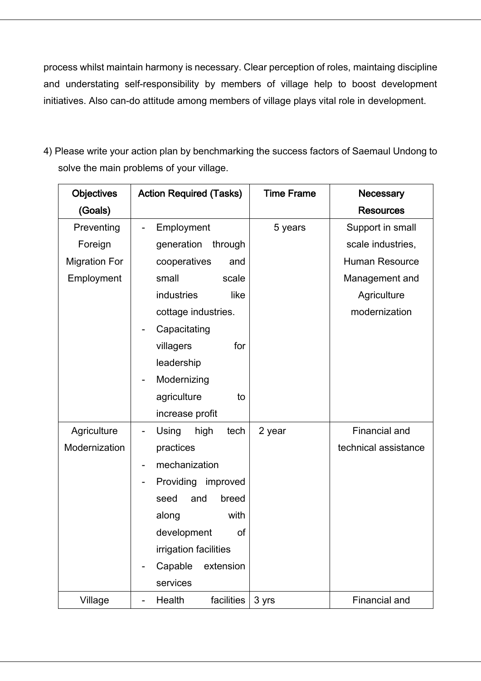process whilst maintain harmony is necessary. Clear perception of roles, maintaing discipline and understating self-responsibility by members of village help to boost development initiatives. Also can-do attitude among members of village plays vital role in development.

4) Please write your action plan by benchmarking the success factors of Saemaul Undong to solve the main problems of your village.

| <b>Objectives</b>    | <b>Action Required (Tasks)</b>           | <b>Time Frame</b> | <b>Necessary</b>      |
|----------------------|------------------------------------------|-------------------|-----------------------|
| (Goals)              |                                          |                   | <b>Resources</b>      |
| Preventing           | Employment                               | 5 years           | Support in small      |
| Foreign              | generation<br>through                    |                   | scale industries,     |
| <b>Migration For</b> | cooperatives<br>and                      |                   | <b>Human Resource</b> |
| Employment           | small<br>scale                           |                   | Management and        |
|                      | industries<br>like                       |                   | Agriculture           |
|                      | cottage industries.                      |                   | modernization         |
|                      | Capacitating<br>$\blacksquare$           |                   |                       |
|                      | for<br>villagers                         |                   |                       |
|                      | leadership                               |                   |                       |
|                      | Modernizing                              |                   |                       |
|                      | agriculture<br>to                        |                   |                       |
|                      | increase profit                          |                   |                       |
| Agriculture          | Using<br>high<br>tech<br>$\qquad \qquad$ | 2 year            | Financial and         |
| Modernization        | practices                                |                   | technical assistance  |
|                      | mechanization<br>$\qquad \qquad$         |                   |                       |
|                      | Providing improved                       |                   |                       |
|                      | breed<br>seed<br>and                     |                   |                       |
|                      | with<br>along                            |                   |                       |
|                      | development<br>of                        |                   |                       |
|                      | irrigation facilities                    |                   |                       |
|                      | Capable<br>extension                     |                   |                       |
|                      | services                                 |                   |                       |
| Village              | Health<br>facilities                     | 3 yrs             | Financial and         |